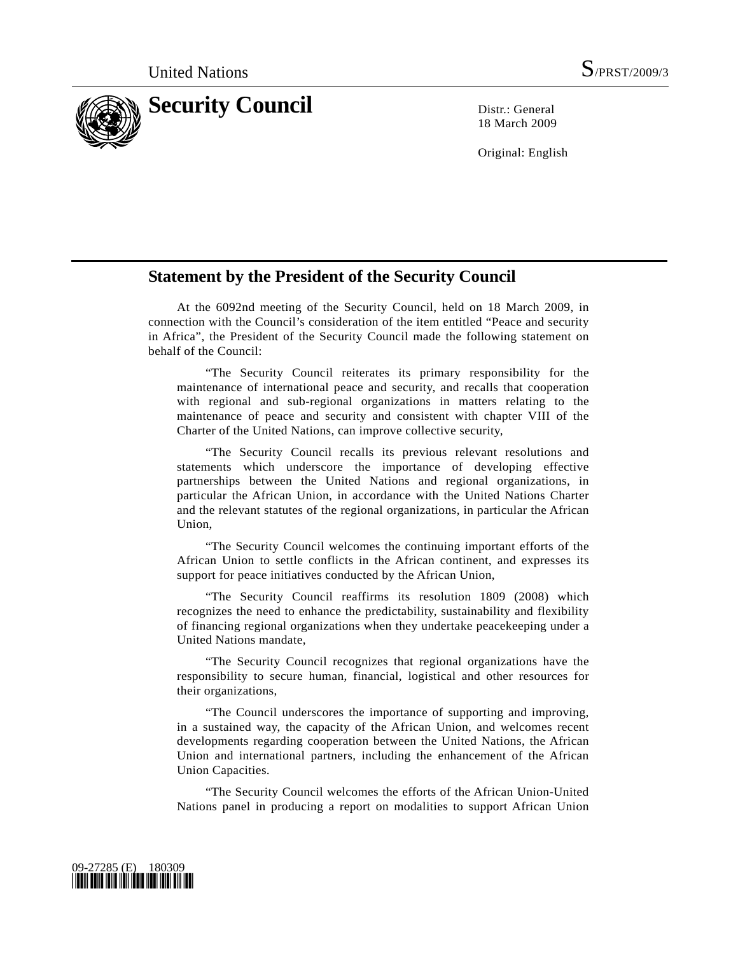

18 March 2009

Original: English

## **Statement by the President of the Security Council**

 At the 6092nd meeting of the Security Council, held on 18 March 2009, in connection with the Council's consideration of the item entitled "Peace and security in Africa", the President of the Security Council made the following statement on behalf of the Council:

 "The Security Council reiterates its primary responsibility for the maintenance of international peace and security, and recalls that cooperation with regional and sub-regional organizations in matters relating to the maintenance of peace and security and consistent with chapter VIII of the Charter of the United Nations, can improve collective security,

 "The Security Council recalls its previous relevant resolutions and statements which underscore the importance of developing effective partnerships between the United Nations and regional organizations, in particular the African Union, in accordance with the United Nations Charter and the relevant statutes of the regional organizations, in particular the African Union,

 "The Security Council welcomes the continuing important efforts of the African Union to settle conflicts in the African continent, and expresses its support for peace initiatives conducted by the African Union,

 "The Security Council reaffirms its resolution 1809 (2008) which recognizes the need to enhance the predictability, sustainability and flexibility of financing regional organizations when they undertake peacekeeping under a United Nations mandate,

 "The Security Council recognizes that regional organizations have the responsibility to secure human, financial, logistical and other resources for their organizations,

 "The Council underscores the importance of supporting and improving, in a sustained way, the capacity of the African Union, and welcomes recent developments regarding cooperation between the United Nations, the African Union and international partners, including the enhancement of the African Union Capacities.

 "The Security Council welcomes the efforts of the African Union-United Nations panel in producing a report on modalities to support African Union